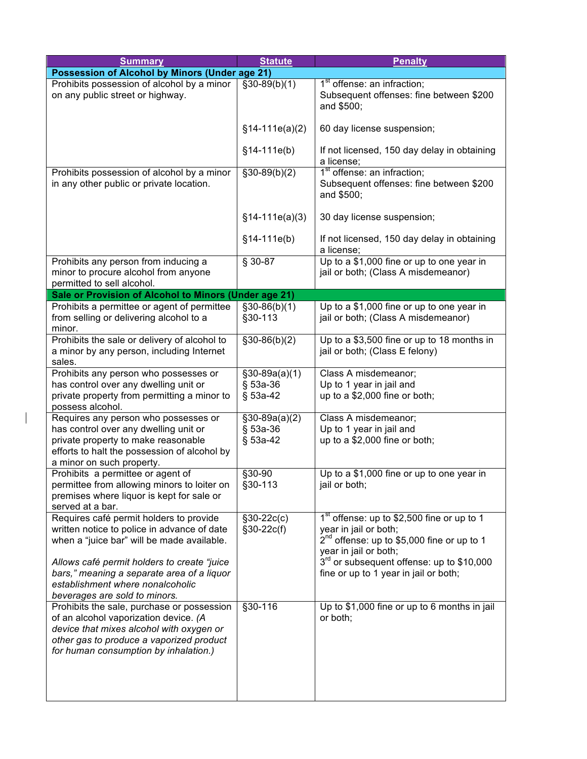| <b>Summary</b>                                                                                                                                                                                                                                                                                         | <b>Statute</b>                          | <b>Penalty</b>                                                                                                                                                                                                                                                       |
|--------------------------------------------------------------------------------------------------------------------------------------------------------------------------------------------------------------------------------------------------------------------------------------------------------|-----------------------------------------|----------------------------------------------------------------------------------------------------------------------------------------------------------------------------------------------------------------------------------------------------------------------|
| Possession of Alcohol by Minors (Under age 21)                                                                                                                                                                                                                                                         |                                         |                                                                                                                                                                                                                                                                      |
| Prohibits possession of alcohol by a minor<br>on any public street or highway.                                                                                                                                                                                                                         | $§30-89(b)(1)$                          | 1 <sup>st</sup> offense: an infraction;<br>Subsequent offenses: fine between \$200<br>and \$500;                                                                                                                                                                     |
|                                                                                                                                                                                                                                                                                                        | $§14-111e(a)(2)$                        | 60 day license suspension;                                                                                                                                                                                                                                           |
|                                                                                                                                                                                                                                                                                                        | §14-111e(b)                             | If not licensed, 150 day delay in obtaining<br>a license;                                                                                                                                                                                                            |
| Prohibits possession of alcohol by a minor<br>in any other public or private location.                                                                                                                                                                                                                 | $§30-89(b)(2)$                          | 1 <sup>st</sup> offense: an infraction;<br>Subsequent offenses: fine between \$200<br>and \$500;                                                                                                                                                                     |
|                                                                                                                                                                                                                                                                                                        | $§14-111e(a)(3)$                        | 30 day license suspension;                                                                                                                                                                                                                                           |
|                                                                                                                                                                                                                                                                                                        | $§14-111e(b)$                           | If not licensed, 150 day delay in obtaining<br>a license;                                                                                                                                                                                                            |
| Prohibits any person from inducing a<br>minor to procure alcohol from anyone                                                                                                                                                                                                                           | $§ 30-87$                               | Up to a \$1,000 fine or up to one year in<br>jail or both; (Class A misdemeanor)                                                                                                                                                                                     |
| permitted to sell alcohol.                                                                                                                                                                                                                                                                             |                                         |                                                                                                                                                                                                                                                                      |
| Sale or Provision of Alcohol to Minors (Under age 21)                                                                                                                                                                                                                                                  |                                         |                                                                                                                                                                                                                                                                      |
| Prohibits a permittee or agent of permittee<br>from selling or delivering alcohol to a<br>minor.                                                                                                                                                                                                       | $§30-86(b)(1)$<br>$§30-113$             | Up to a \$1,000 fine or up to one year in<br>jail or both; (Class A misdemeanor)                                                                                                                                                                                     |
| Prohibits the sale or delivery of alcohol to<br>a minor by any person, including Internet<br>sales.                                                                                                                                                                                                    | $§30-86(b)(2)$                          | Up to a \$3,500 fine or up to 18 months in<br>jail or both; (Class E felony)                                                                                                                                                                                         |
| Prohibits any person who possesses or<br>has control over any dwelling unit or<br>private property from permitting a minor to<br>possess alcohol.                                                                                                                                                      | $§30-89a(a)(1)$<br>§ 53a-36<br>§ 53a-42 | Class A misdemeanor;<br>Up to 1 year in jail and<br>up to a \$2,000 fine or both;                                                                                                                                                                                    |
| Requires any person who possesses or<br>has control over any dwelling unit or<br>private property to make reasonable<br>efforts to halt the possession of alcohol by<br>a minor on such property.                                                                                                      | $§30-89a(a)(2)$<br>§ 53a-36<br>§ 53a-42 | Class A misdemeanor;<br>Up to 1 year in jail and<br>up to a \$2,000 fine or both;                                                                                                                                                                                    |
| Prohibits a permittee or agent of<br>permittee from allowing minors to loiter on<br>premises where liquor is kept for sale or<br>served at a bar.                                                                                                                                                      | §30-90<br>§30-113                       | Up to a \$1,000 fine or up to one year in<br>jail or both;                                                                                                                                                                                                           |
| Requires café permit holders to provide<br>written notice to police in advance of date<br>when a "juice bar" will be made available.<br>Allows café permit holders to create "juice<br>bars," meaning a separate area of a liquor<br>establishment where nonalcoholic<br>beverages are sold to minors. | $§30-22c(c)$<br>$§30-22c(f)$            | 1 <sup>st</sup> offense: up to \$2,500 fine or up to 1<br>year in jail or both;<br>2 <sup>nd</sup> offense: up to \$5,000 fine or up to 1<br>year in jail or both;<br>3 <sup>rd</sup> or subsequent offense: up to \$10,000<br>fine or up to 1 year in jail or both; |
| Prohibits the sale, purchase or possession<br>of an alcohol vaporization device. (A<br>device that mixes alcohol with oxygen or<br>other gas to produce a vaporized product<br>for human consumption by inhalation.)                                                                                   | $$30-116$                               | Up to \$1,000 fine or up to 6 months in jail<br>or both;                                                                                                                                                                                                             |

 $\overline{\phantom{a}}$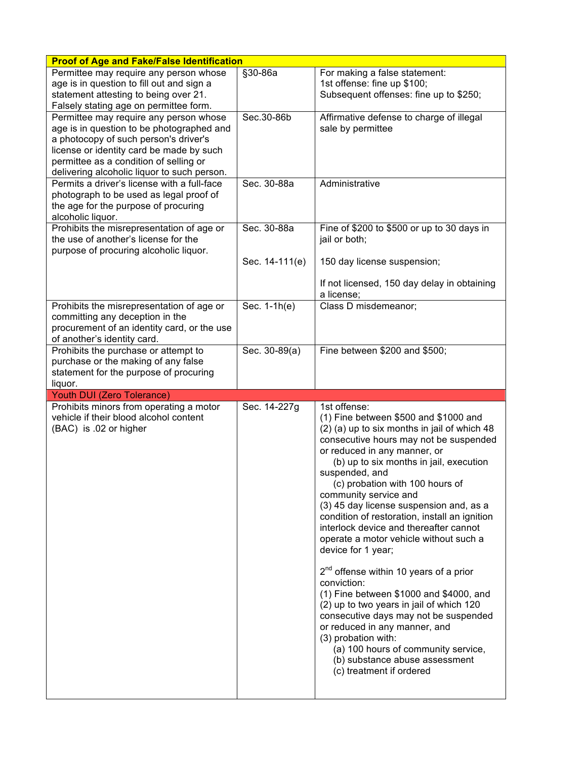| <b>Proof of Age and Fake/False Identification</b>                                                                                                                                                                                                                 |                |                                                                                                                                                                                                                                                                                                                                                                                                                                                                                                                                                                                                                                                                                                                                                                                                                                                                          |
|-------------------------------------------------------------------------------------------------------------------------------------------------------------------------------------------------------------------------------------------------------------------|----------------|--------------------------------------------------------------------------------------------------------------------------------------------------------------------------------------------------------------------------------------------------------------------------------------------------------------------------------------------------------------------------------------------------------------------------------------------------------------------------------------------------------------------------------------------------------------------------------------------------------------------------------------------------------------------------------------------------------------------------------------------------------------------------------------------------------------------------------------------------------------------------|
| Permittee may require any person whose<br>age is in question to fill out and sign a<br>statement attesting to being over 21.<br>Falsely stating age on permittee form.                                                                                            | §30-86a        | For making a false statement:<br>1st offense: fine up \$100;<br>Subsequent offenses: fine up to \$250;                                                                                                                                                                                                                                                                                                                                                                                                                                                                                                                                                                                                                                                                                                                                                                   |
| Permittee may require any person whose<br>age is in question to be photographed and<br>a photocopy of such person's driver's<br>license or identity card be made by such<br>permittee as a condition of selling or<br>delivering alcoholic liquor to such person. | Sec.30-86b     | Affirmative defense to charge of illegal<br>sale by permittee                                                                                                                                                                                                                                                                                                                                                                                                                                                                                                                                                                                                                                                                                                                                                                                                            |
| Permits a driver's license with a full-face<br>photograph to be used as legal proof of<br>the age for the purpose of procuring<br>alcoholic liquor.                                                                                                               | Sec. 30-88a    | Administrative                                                                                                                                                                                                                                                                                                                                                                                                                                                                                                                                                                                                                                                                                                                                                                                                                                                           |
| Prohibits the misrepresentation of age or<br>the use of another's license for the<br>purpose of procuring alcoholic liquor.                                                                                                                                       | Sec. 30-88a    | Fine of \$200 to \$500 or up to 30 days in<br>jail or both;                                                                                                                                                                                                                                                                                                                                                                                                                                                                                                                                                                                                                                                                                                                                                                                                              |
|                                                                                                                                                                                                                                                                   | Sec. 14-111(e) | 150 day license suspension;                                                                                                                                                                                                                                                                                                                                                                                                                                                                                                                                                                                                                                                                                                                                                                                                                                              |
|                                                                                                                                                                                                                                                                   |                | If not licensed, 150 day delay in obtaining<br>a license;                                                                                                                                                                                                                                                                                                                                                                                                                                                                                                                                                                                                                                                                                                                                                                                                                |
| Prohibits the misrepresentation of age or<br>committing any deception in the<br>procurement of an identity card, or the use<br>of another's identity card.                                                                                                        | Sec. 1-1h(e)   | Class D misdemeanor;                                                                                                                                                                                                                                                                                                                                                                                                                                                                                                                                                                                                                                                                                                                                                                                                                                                     |
| Prohibits the purchase or attempt to<br>purchase or the making of any false<br>statement for the purpose of procuring<br>liquor.                                                                                                                                  | Sec. 30-89(a)  | Fine between \$200 and \$500;                                                                                                                                                                                                                                                                                                                                                                                                                                                                                                                                                                                                                                                                                                                                                                                                                                            |
| <b>Youth DUI (Zero Tolerance)</b>                                                                                                                                                                                                                                 |                |                                                                                                                                                                                                                                                                                                                                                                                                                                                                                                                                                                                                                                                                                                                                                                                                                                                                          |
| Prohibits minors from operating a motor<br>vehicle if their blood alcohol content<br>(BAC) is .02 or higher                                                                                                                                                       | Sec. 14-227g   | 1st offense:<br>$(1)$ Fine between \$500 and \$1000 and<br>(2) (a) up to six months in jail of which 48<br>consecutive hours may not be suspended<br>or reduced in any manner, or<br>(b) up to six months in jail, execution<br>suspended, and<br>(c) probation with 100 hours of<br>community service and<br>(3) 45 day license suspension and, as a<br>condition of restoration, install an ignition<br>interlock device and thereafter cannot<br>operate a motor vehicle without such a<br>device for 1 year;<br>$2nd$ offense within 10 years of a prior<br>conviction:<br>(1) Fine between \$1000 and \$4000, and<br>(2) up to two years in jail of which 120<br>consecutive days may not be suspended<br>or reduced in any manner, and<br>(3) probation with:<br>(a) 100 hours of community service,<br>(b) substance abuse assessment<br>(c) treatment if ordered |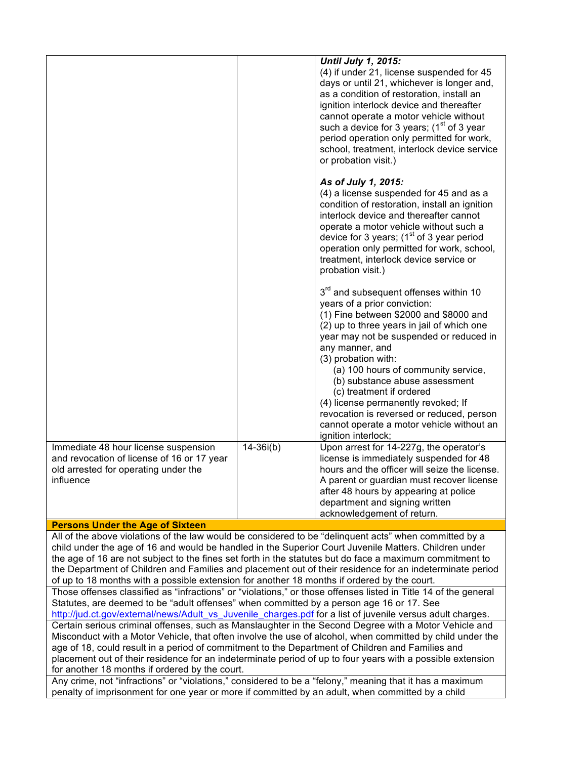|                                                                                                                                                                                                                                                                                                                                                                                                                                                                                                                                        |             | <b>Until July 1, 2015:</b><br>(4) if under 21, license suspended for 45<br>days or until 21, whichever is longer and,<br>as a condition of restoration, install an<br>ignition interlock device and thereafter<br>cannot operate a motor vehicle without<br>such a device for 3 years; $(1st$ of 3 year<br>period operation only permitted for work,<br>school, treatment, interlock device service<br>or probation visit.) |  |  |
|----------------------------------------------------------------------------------------------------------------------------------------------------------------------------------------------------------------------------------------------------------------------------------------------------------------------------------------------------------------------------------------------------------------------------------------------------------------------------------------------------------------------------------------|-------------|-----------------------------------------------------------------------------------------------------------------------------------------------------------------------------------------------------------------------------------------------------------------------------------------------------------------------------------------------------------------------------------------------------------------------------|--|--|
|                                                                                                                                                                                                                                                                                                                                                                                                                                                                                                                                        |             | As of July 1, 2015:<br>(4) a license suspended for 45 and as a<br>condition of restoration, install an ignition<br>interlock device and thereafter cannot<br>operate a motor vehicle without such a<br>device for 3 years; $(1st$ of 3 year period<br>operation only permitted for work, school,<br>treatment, interlock device service or<br>probation visit.)                                                             |  |  |
|                                                                                                                                                                                                                                                                                                                                                                                                                                                                                                                                        |             | 3 <sup>rd</sup> and subsequent offenses within 10<br>years of a prior conviction:<br>(1) Fine between \$2000 and \$8000 and<br>(2) up to three years in jail of which one<br>year may not be suspended or reduced in<br>any manner, and<br>(3) probation with:                                                                                                                                                              |  |  |
|                                                                                                                                                                                                                                                                                                                                                                                                                                                                                                                                        |             | (a) 100 hours of community service,<br>(b) substance abuse assessment<br>(c) treatment if ordered<br>(4) license permanently revoked; If<br>revocation is reversed or reduced, person<br>cannot operate a motor vehicle without an<br>ignition interlock;                                                                                                                                                                   |  |  |
| Immediate 48 hour license suspension<br>and revocation of license of 16 or 17 year<br>old arrested for operating under the<br>influence                                                                                                                                                                                                                                                                                                                                                                                                | $14-36i(b)$ | Upon arrest for 14-227g, the operator's<br>license is immediately suspended for 48<br>hours and the officer will seize the license.<br>A parent or guardian must recover license<br>after 48 hours by appearing at police<br>department and signing written<br>acknowledgement of return.                                                                                                                                   |  |  |
| <b>Persons Under the Age of Sixteen</b>                                                                                                                                                                                                                                                                                                                                                                                                                                                                                                |             |                                                                                                                                                                                                                                                                                                                                                                                                                             |  |  |
| All of the above violations of the law would be considered to be "delinguent acts" when committed by a<br>child under the age of 16 and would be handled in the Superior Court Juvenile Matters. Children under<br>the age of 16 are not subject to the fines set forth in the statutes but do face a maximum commitment to<br>the Department of Children and Families and placement out of their residence for an indeterminate period<br>of up to 18 months with a possible extension for another 18 months if ordered by the court. |             |                                                                                                                                                                                                                                                                                                                                                                                                                             |  |  |
| Those offenses classified as "infractions" or "violations," or those offenses listed in Title 14 of the general<br>Statutes, are deemed to be "adult offenses" when committed by a person age 16 or 17. See<br>http://jud.ct.gov/external/news/Adult vs_Juvenile_charges.pdf for a list of juvenile versus adult charges.                                                                                                                                                                                                              |             |                                                                                                                                                                                                                                                                                                                                                                                                                             |  |  |
| Certain serious criminal offenses, such as Manslaughter in the Second Degree with a Motor Vehicle and<br>Misconduct with a Motor Vehicle, that often involve the use of alcohol, when committed by child under the<br>age of 18, could result in a period of commitment to the Department of Children and Families and                                                                                                                                                                                                                 |             |                                                                                                                                                                                                                                                                                                                                                                                                                             |  |  |
| placement out of their residence for an indeterminate period of up to four years with a possible extension                                                                                                                                                                                                                                                                                                                                                                                                                             |             |                                                                                                                                                                                                                                                                                                                                                                                                                             |  |  |
| for another 18 months if ordered by the court.                                                                                                                                                                                                                                                                                                                                                                                                                                                                                         |             |                                                                                                                                                                                                                                                                                                                                                                                                                             |  |  |
| Any crime, not "infractions" or "violations," considered to be a "felony," meaning that it has a maximum                                                                                                                                                                                                                                                                                                                                                                                                                               |             |                                                                                                                                                                                                                                                                                                                                                                                                                             |  |  |

penalty of imprisonment for one year or more if committed by an adult, when committed by a child